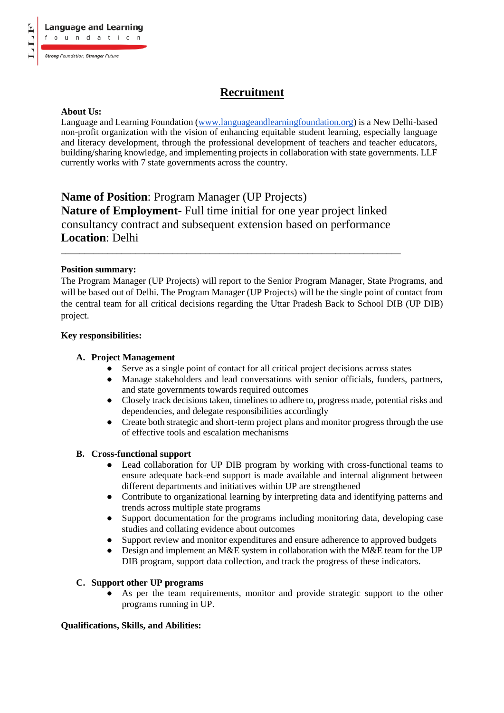# **Recruitment**

# **About Us:**

Language and Learning Foundation (www.languageandlearningfoundation.org) is a New Delhi-based non-profit organization with the vision of enhancing equitable student learning, especially language and literacy development, through the professional development of teachers and teacher educators, building/sharing knowledge, and implementing projects in collaboration with state governments. LLF currently works with 7 state governments across the country.

**Name of Position**: Program Manager (UP Projects) **Nature of Employment**- Full time initial for one year project linked consultancy contract and subsequent extension based on performance **Location**: Delhi

\_\_\_\_\_\_\_\_\_\_\_\_\_\_\_\_\_\_\_\_\_\_\_\_\_\_\_\_\_\_\_\_\_\_\_\_\_\_\_\_\_\_\_\_\_\_\_\_\_\_\_\_\_\_\_\_\_\_\_\_\_\_\_\_\_\_\_\_\_\_\_\_\_

#### **Position summary:**

The Program Manager (UP Projects) will report to the Senior Program Manager, State Programs, and will be based out of Delhi. The Program Manager (UP Projects) will be the single point of contact from the central team for all critical decisions regarding the Uttar Pradesh Back to School DIB (UP DIB) project.

# **Key responsibilities:**

# **A. Project Management**

- Serve as a single point of contact for all critical project decisions across states
- Manage stakeholders and lead conversations with senior officials, funders, partners, and state governments towards required outcomes
- Closely track decisions taken, timelines to adhere to, progress made, potential risks and dependencies, and delegate responsibilities accordingly
- Create both strategic and short-term project plans and monitor progress through the use of effective tools and escalation mechanisms

# **B. Cross-functional support**

- Lead collaboration for UP DIB program by working with cross-functional teams to ensure adequate back-end support is made available and internal alignment between different departments and initiatives within UP are strengthened
- Contribute to organizational learning by interpreting data and identifying patterns and trends across multiple state programs
- Support documentation for the programs including monitoring data, developing case studies and collating evidence about outcomes
- Support review and monitor expenditures and ensure adherence to approved budgets
- Design and implement an M&E system in collaboration with the M&E team for the UP DIB program, support data collection, and track the progress of these indicators.

#### **C. Support other UP programs**

● As per the team requirements, monitor and provide strategic support to the other programs running in UP.

# **Qualifications, Skills, and Abilities:**